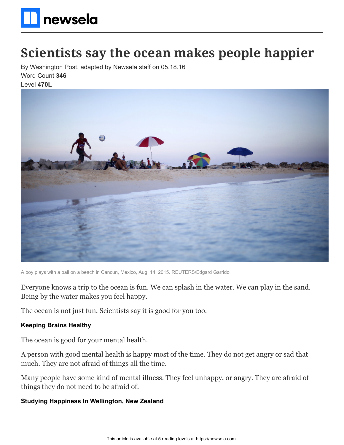

# **Scientists say the ocean makes people happier**

By Washington Post, adapted by Newsela staff on 05.18.16 Word Count **346**

Level **470L**



A boy plays with a ball on a beach in Cancun, Mexico, Aug. 14, 2015. REUTERS/Edgard Garrido

Everyone knows a trip to the ocean is fun. We can splash in the water. We can play in the sand. Being by the water makes you feel happy.

The ocean is not just fun. Scientists say it is good for you too.

### **Keeping Brains Healthy**

The ocean is good for your mental health.

A person with good mental health is happy most of the time. They do not get angry or sad that much. They are not afraid of things all the time.

Many people have some kind of mental illness. They feel unhappy, or angry. They are afraid of things they do not need to be afraid of.

### **Studying Happiness In Wellington, New Zealand**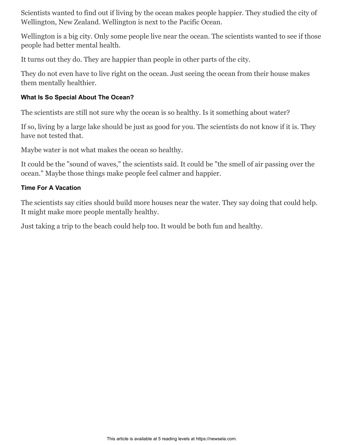Scientists wanted to find out if living by the ocean makes people happier. They studied the city of Wellington, New Zealand. Wellington is next to the Pacific Ocean.

Wellington is a big city. Only some people live near the ocean. The scientists wanted to see if those people had better mental health.

It turns out they do. They are happier than people in other parts of the city.

They do not even have to live right on the ocean. Just seeing the ocean from their house makes them mentally healthier.

# **What Is So Special About The Ocean?**

The scientists are still not sure why the ocean is so healthy. Is it something about water?

If so, living by a large lake should be just as good for you. The scientists do not know if it is. They have not tested that.

Maybe water is not what makes the ocean so healthy.

It could be the "sound of waves," the scientists said. It could be "the smell of air passing over the ocean." Maybe those things make people feel calmer and happier.

## **Time For A Vacation**

The scientists say cities should build more houses near the water. They say doing that could help. It might make more people mentally healthy.

Just taking a trip to the beach could help too. It would be both fun and healthy.